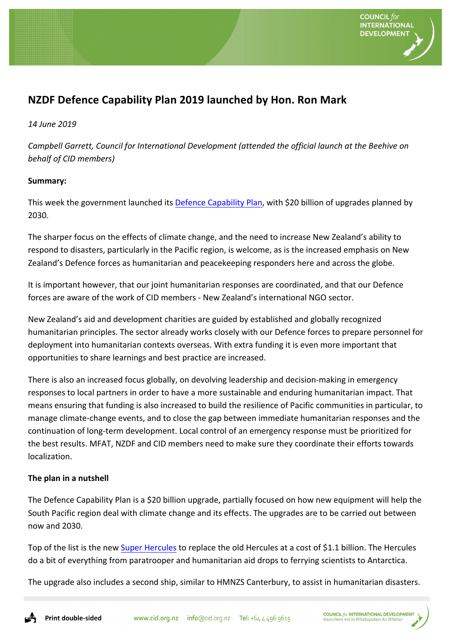

# **NZDF Defence Capability Plan 2019 launched by Hon. Ron Mark**

### *14 June 2019*

*Campbell Garrett, Council for International Development (attended the official launch at the Beehive on behalf of CID members)*

#### **Summary:**

This week the government launched its Defence Capability Plan, with \$20 billion of upgrades planned by 2030.

The sharper focus on the effects of climate change, and the need to increase New Zealand's ability to respond to disasters, particularly in the Pacific region, is welcome, as is the increased emphasis on New Zealand's Defence forces as humanitarian and peacekeeping responders here and across the globe.

It is important however, that our joint humanitarian responses are coordinated, and that our Defence forces are aware of the work of CID members - New Zealand's international NGO sector.

New Zealand's aid and development charities are guided by established and globally recognized humanitarian principles. The sector already works closely with our Defence forces to prepare personnel for deployment into humanitarian contexts overseas. With extra funding it is even more important that opportunities to share learnings and best practice are increased.

There is also an increased focus globally, on devolving leadership and decision-making in emergency responses to local partners in order to have a more sustainable and enduring humanitarian impact. That means ensuring that funding is also increased to build the resilience of Pacific communities in particular, to manage climate-change events, and to close the gap between immediate humanitarian responses and the continuation of long-term development. Local control of an emergency response must be prioritized for the best results. MFAT, NZDF and CID members need to make sure they coordinate their efforts towards localization.

## **The plan in a nutshell**

The Defence Capability Plan is a \$20 billion upgrade, partially focused on how new equipment will help the South Pacific region deal with climate change and its effects. The upgrades are to be carried out between now and 2030.

Top of the list is the new Super Hercules to replace the old Hercules at a cost of \$1.1 billion. The Hercules do a bit of everything from paratrooper and humanitarian aid drops to ferrying scientists to Antarctica.

The upgrade also includes a second ship, similar to HMNZS Canterbury, to assist in humanitarian disasters.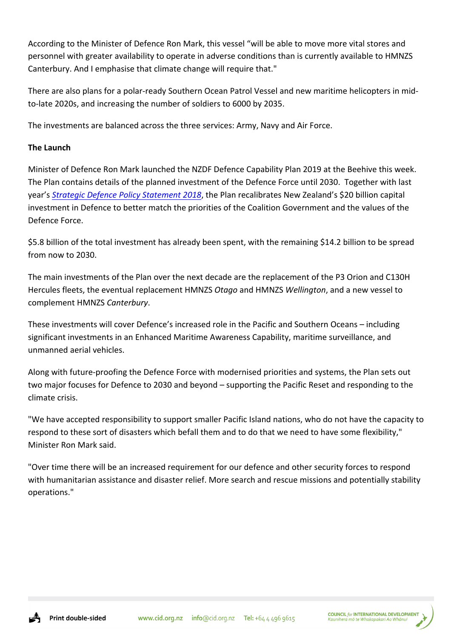According to the Minister of Defence Ron Mark, this vessel "will be able to move more vital stores and personnel with greater availability to operate in adverse conditions than is currently available to HMNZS Canterbury. And I emphasise that climate change will require that."

There are also plans for a polar-ready Southern Ocean Patrol Vessel and new maritime helicopters in midto-late 2020s, and increasing the number of soldiers to 6000 by 2035.

The investments are balanced across the three services: Army, Navy and Air Force.

## **The Launch**

Minister of Defence Ron Mark launched the NZDF Defence Capability Plan 2019 at the Beehive this week. The Plan contains details of the planned investment of the Defence Force until 2030. Together with last year's *Strategic Defence Policy Statement 2018*, the Plan recalibrates New Zealand's \$20 billion capital investment in Defence to better match the priorities of the Coalition Government and the values of the Defence Force.

\$5.8 billion of the total investment has already been spent, with the remaining \$14.2 billion to be spread from now to 2030.

The main investments of the Plan over the next decade are the replacement of the P3 Orion and C130H Hercules fleets, the eventual replacement HMNZS *Otago* and HMNZS *Wellington*, and a new vessel to complement HMNZS *Canterbury*. 

These investments will cover Defence's increased role in the Pacific and Southern Oceans - including significant investments in an Enhanced Maritime Awareness Capability, maritime surveillance, and unmanned aerial vehicles.

Along with future-proofing the Defence Force with modernised priorities and systems, the Plan sets out two major focuses for Defence to 2030 and beyond – supporting the Pacific Reset and responding to the climate crisis.

"We have accepted responsibility to support smaller Pacific Island nations, who do not have the capacity to respond to these sort of disasters which befall them and to do that we need to have some flexibility," Minister Ron Mark said.

"Over time there will be an increased requirement for our defence and other security forces to respond with humanitarian assistance and disaster relief. More search and rescue missions and potentially stability operations."

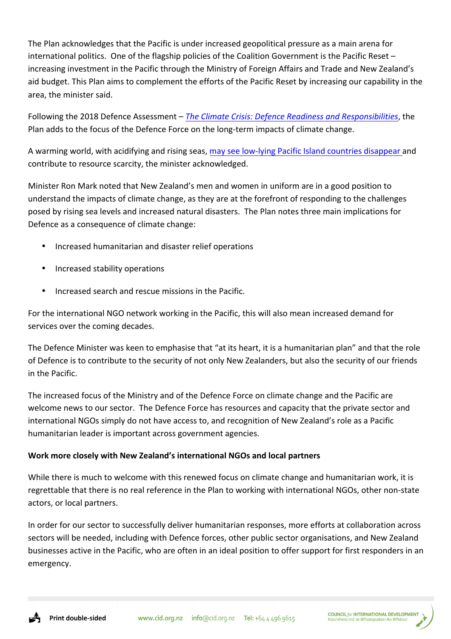The Plan acknowledges that the Pacific is under increased geopolitical pressure as a main arena for international politics. One of the flagship policies of the Coalition Government is the Pacific Reset  $$ increasing investment in the Pacific through the Ministry of Foreign Affairs and Trade and New Zealand's aid budget. This Plan aims to complement the efforts of the Pacific Reset by increasing our capability in the area, the minister said.

Following the 2018 Defence Assessment – *The Climate Crisis: Defence Readiness and Responsibilities*, the Plan adds to the focus of the Defence Force on the long-term impacts of climate change.

A warming world, with acidifying and rising seas, may see low-lying Pacific Island countries disappear and contribute to resource scarcity, the minister acknowledged.

Minister Ron Mark noted that New Zealand's men and women in uniform are in a good position to understand the impacts of climate change, as they are at the forefront of responding to the challenges posed by rising sea levels and increased natural disasters. The Plan notes three main implications for Defence as a consequence of climate change:

- Increased humanitarian and disaster relief operations
- Increased stability operations
- Increased search and rescue missions in the Pacific.

For the international NGO network working in the Pacific, this will also mean increased demand for services over the coming decades.

The Defence Minister was keen to emphasise that "at its heart, it is a humanitarian plan" and that the role of Defence is to contribute to the security of not only New Zealanders, but also the security of our friends in the Pacific.

The increased focus of the Ministry and of the Defence Force on climate change and the Pacific are welcome news to our sector. The Defence Force has resources and capacity that the private sector and international NGOs simply do not have access to, and recognition of New Zealand's role as a Pacific humanitarian leader is important across government agencies.

## **Work more closely with New Zealand's international NGOs and local partners**

While there is much to welcome with this renewed focus on climate change and humanitarian work, it is regrettable that there is no real reference in the Plan to working with international NGOs, other non-state actors, or local partners.

In order for our sector to successfully deliver humanitarian responses, more efforts at collaboration across sectors will be needed, including with Defence forces, other public sector organisations, and New Zealand businesses active in the Pacific, who are often in an ideal position to offer support for first responders in an emergency.